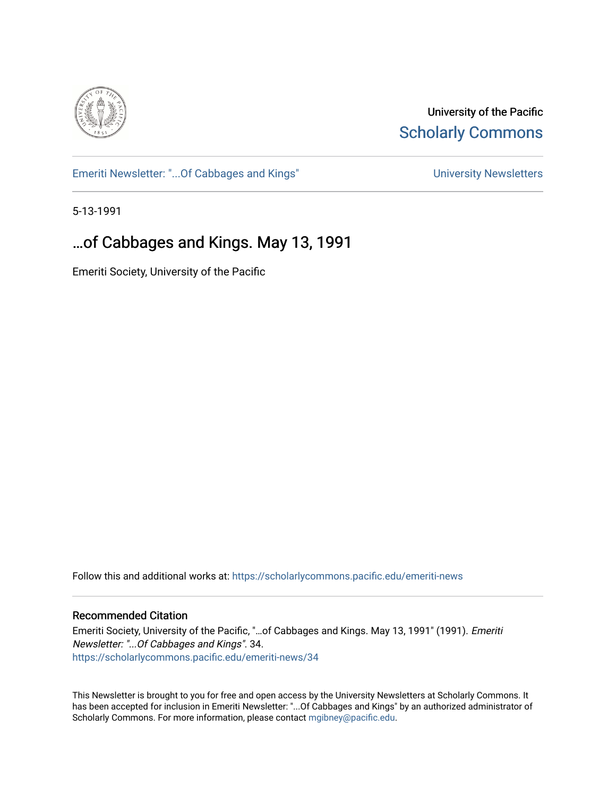

University of the Pacific **Scholarly Commons** 

[Emeriti Newsletter: "...Of Cabbages and Kings"](https://scholarlycommons.pacific.edu/emeriti-news) Newsletters University Newsletters

5-13-1991

# …of Cabbages and Kings. May 13, 1991

Emeriti Society, University of the Pacific

Follow this and additional works at: [https://scholarlycommons.pacific.edu/emeriti-news](https://scholarlycommons.pacific.edu/emeriti-news?utm_source=scholarlycommons.pacific.edu%2Femeriti-news%2F34&utm_medium=PDF&utm_campaign=PDFCoverPages)

#### Recommended Citation

Emeriti Society, University of the Pacific, "…of Cabbages and Kings. May 13, 1991" (1991). Emeriti Newsletter: "...Of Cabbages and Kings". 34. [https://scholarlycommons.pacific.edu/emeriti-news/34](https://scholarlycommons.pacific.edu/emeriti-news/34?utm_source=scholarlycommons.pacific.edu%2Femeriti-news%2F34&utm_medium=PDF&utm_campaign=PDFCoverPages) 

This Newsletter is brought to you for free and open access by the University Newsletters at Scholarly Commons. It has been accepted for inclusion in Emeriti Newsletter: "...Of Cabbages and Kings" by an authorized administrator of Scholarly Commons. For more information, please contact [mgibney@pacific.edu.](mailto:mgibney@pacific.edu)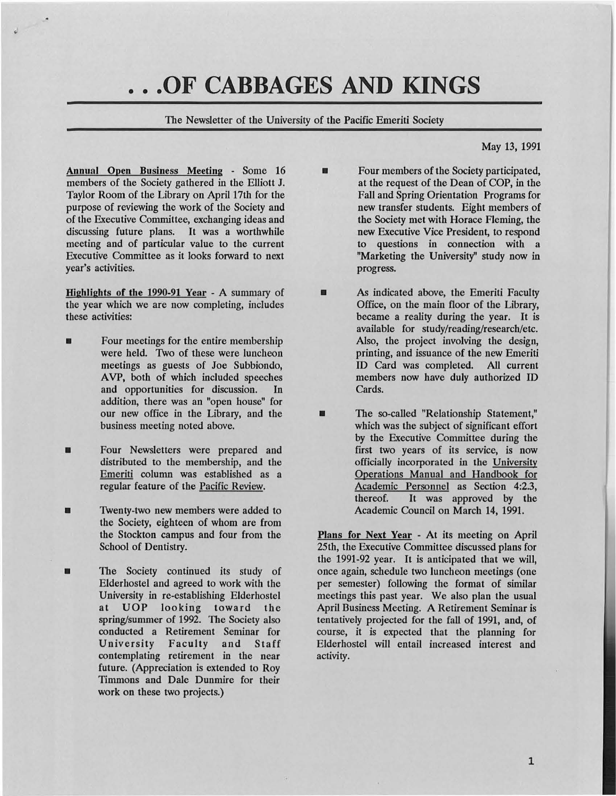# • • **.OF CABBAGES AND KINGS**

The Newsletter of the University of the Pacific Emeriti Society

•

May 13, 1991

Annual Open Business Meeting - Some 16 members of the Society gathered in the Elliott J. Taylor Room of the Library on April 17th for the purpose of reviewing the work of the Society and of the Executive Committee, exchanging ideas and discussing future plans. It was a worthwhile meeting and of particular value to the current Executive Committee as it looks forward to next year's activities.

Highlights of the 1990-91 Year - A summary of the year which we are now completing, includes these activities:

- Four meetings for the entire membership were held. Two of these were luncheon meetings as guests of Joe Subbiondo, A VP, both of which included speeches and opportunities for discussion. In addition, there was an "open house" for our new office in the Library, and the business meeting noted above.
- Four Newsletters were prepared and distributed to the membership, and the Emeriti column was established as a regular feature of the Pacific Review.
- **Twenty-two new members were added to** the Society, eighteen of whom are from the Stockton campus and four from the School of Dentistry.
- **The Society continued its study of** Elderbostel and agreed to work with the University in re-establishing Elderhostel at UOP looking toward the spring/summer of 1992. The Society also conducted a Retirement Seminar for University Faculty and Staff contemplating retirement in the near future. (Appreciation is extended to Roy Timmons and Dale Dunmire for their work on these two projects.)

Four members of the Society participated, at the request of the Dean of COP, in the Fall and Spring Orientation Programs for new transfer students. Eight members of the Society met with Horace Fleming, the new Executive Vice President, to respond to questions in connection with a "Marketing the University" study now in progress.

**• As indicated above, the Emeriti Faculty** Office, on the main floor of the Library, became a reality during the year. It is available for study/reading/research/etc. Also, the project involving the design, printing, and issuance of the new Emeriti ID Card was completed. All current members now have duly authorized ID Cards.

**u** The so-called "Relationship Statement," which was the subject of significant effort by the Executive Committee during the first two years of its service, is now officially incorporated in the University Operations Manual and Handbook for Academic Personnel as Section 4:2.3, thereof. It was approved by the It was approved by the Academic Council on March 14, 1991.

Plans for Next Year - At its meeting on April 25th, the Executive Committee discussed plans for the 1991-92 year. It is anticipated that we will, once again, schedule two luncheon meetings (one per semester) following the format of similar meetings this past year. We also plan the usual April Business Meeting. A Retirement Seminar is tentatively projected for the fall of 1991, and, of course, it is expected that the planning for Elderhostel will entail increased interest and activity.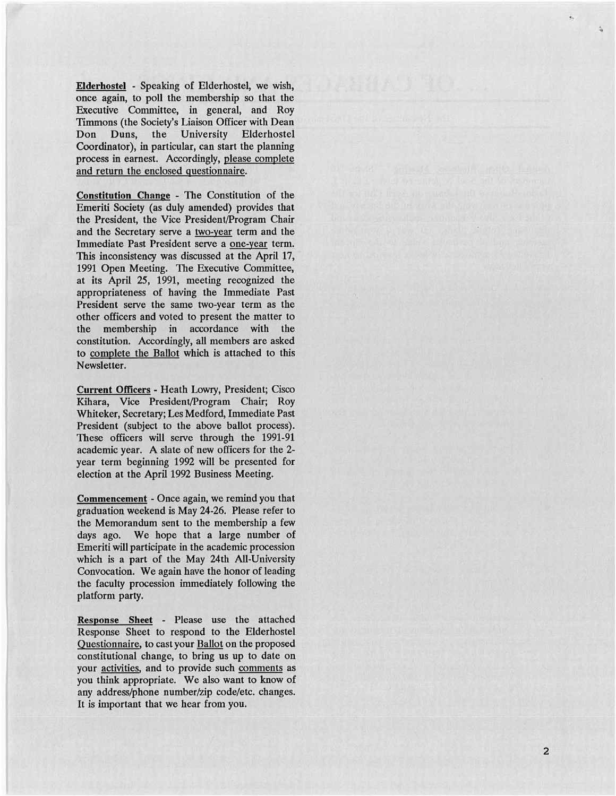Elderhostel - Speaking of Elderhostel, we wish, once again, to poll the membership so that the Executive Committee, in general, and Roy Timmons (the Society's Liaison Officer with Dean Don Duns, the University Elderhostel Coordinator), in particular, can start the planning process in earnest. Accordingly, please complete and return the enclosed questionnaire.

Constitution Change - The Constitution of the Emeriti Society (as duly amended) provides that the President, the Vice President/Program Chair and the Secretary serve a two-year term and the Immediate Past President serve a one-year term. This inconsistency was discussed at the April 17, 1991 Open Meeting. The Executive Committee, at its April 25, 1991, meeting recognized the appropriateness of having the Immediate Past President serve the same two-year term as the other officers and voted to present the matter to the membership in accordance with the constitution. Accordingly, all members are asked to complete the Ballot which is attached to this Newsletter.

Current Officers- Heath Lowry, President; Cisco Kihara, Vice President/Program Chair; Roy Whiteker, Secretary; Les Medford, Immediate Past President (subject to the above ballot process). These officers will serve through the 1991-91 academic year. A slate of new officers for the 2 year term beginning 1992 will be presented for election at the April 1992 Business Meeting.

Commencement - Once again, we remind you that graduation weekend is May 24-26. Please refer to the Memorandum sent to the membership a few days ago. We hope that a large number of Emeriti will participate in the academic procession which is a part of the May 24th All-University Convoc ation. We again have the honor of leading the faculty procession immediately following the platform party.

Response Sheet - Please use the attached Response Sheet to respond to the Elderhostel Questionnaire, to cast your Ballot on the proposed constitutional change, to bring us up to date on your activities, and to provide such comments as you think appropriate. We also want to know of any address/phone number/zip code/etc. changes. It is important that we hear from you.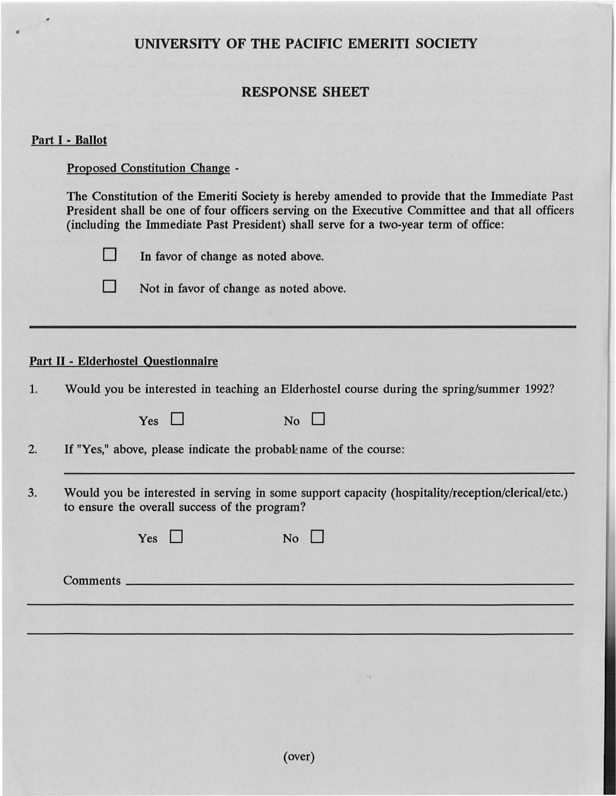# UNIVERSITY OF THE PACIFIC EMERITI SOCIETY

## RESPONSE SHEET

### Part I - Ballot

•

•

Proposed Constitution Change -

The Constitution of the Emeriti Society is hereby amended to provide that the Immediate Past President shall be one of four officers serving on the Executive Committee and that all officers (including the Immediate Past President) shall serve for a two-year term of office:



 $\Box$  In favor of change as noted above.



 $\Box$  Not in favor of change as noted above.

### Part II - Elderhostel Questionnaire

1. Would you be interested in teaching an Elderhostel course during the spring/summer 1992?

| Yes $\Box$                                                        | N <sub>o</sub>                                                                                                    |  |  |  |
|-------------------------------------------------------------------|-------------------------------------------------------------------------------------------------------------------|--|--|--|
| If "Yes," above, please indicate the probable name of the course: |                                                                                                                   |  |  |  |
|                                                                   | the company's company's company's company's company's company's company's company's company's company's company's |  |  |  |

3. Would you be interested in serving in some support capacity (hospitality/reception/clerical/etc.) to ensure the overall success of the program?

| Yes $\Box$  | No |  |
|-------------|----|--|
| Comments __ |    |  |
|             |    |  |